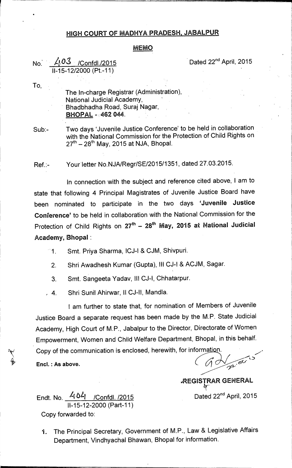#### **HIGH COURT OF MADHYA PRADESH, JABALPUR**

#### **MEMO**

## No. 403 /Confdl./2015 **Dated 22<sup>nd</sup> April, 2015 11-15 12/2000 (Pt-11)**

**To,** 

- **The 1n-charge Registrar (Administration), National Judicial Academy, Bhadbhadha Road, Suraj Nagar, BHOPAL - 462 044.**
- **Sub:- Two days 'Juvenile Justice Conference' to be held in collaboration with the National Commission for the Protection of Child Rights on**  27<sup>th</sup> – 28<sup>th</sup> May, 2015 at NJA, Bhopal.

**Ref.:- Your\*letter No.NJA/Regr/SE/2015/1351, dated 27.03.2015.** 

**In connection with the subject and reference cited above, 1 am to state that following 4 Principal Magistrates of Juvenile Justice Board have been nominated to participate in the two days 'Juvenile Justice Conference' to be held in collaboration with the National Commission for the**  Protection of Child Rights on 27<sup>th</sup> - 28<sup>th</sup> May, 2015 at National Judicial **Academy, Bhopal:** 

- **1. Smt. Priya Sharma, ICJ-1 & CJM, Shivpuri.** 
	- **2. Shri Awadhesh Kumar (Gupta), Ill CJ-I & ACJM, Sagar.**
	- **3. Smt. Sangeeta Yadav, Ill CJ-1, Chhatarpur.**
- **, 4. Shri Sunil Ahirwar, II CJ-II, Mandla.**

**I am further to state that, for nomination of Members of Juvenile Justice Board a separate request has been made by the M.P. State Judicial Academy, High Court of M.P., Jabalpur to the Director, Directorate of Women Empowerment, Women and Child Welfare Department, Bhopal, in this behalf.**  Copy of the communication is enclosed, herewith, for information.

 $a\sqrt{p}$ 

**,REGISTRAR GENERAL** 

Endt. No. 404 /Confdl. /2015 **Dated 22<sup>nd</sup> April, 2015 11-15-12-2000 (Part-11) Copy forwarded to:** 

Encl.: As above.

**1. The Principal Secretary, Government of M.P., Law & Legislative Affairs Department, Vindhyachal Bhawan, Bhopal for information.**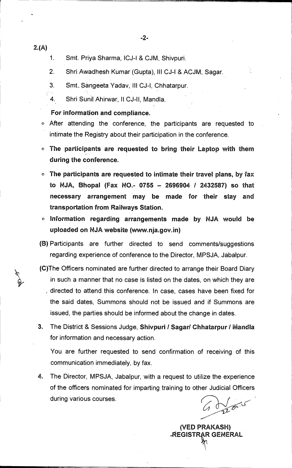- 2.(A)
- 1. Smt. Priya Sharma, ICJ-I & CJM, Shivpuri.
- 2. Shri Awadhesh Kumar (Gupta), Ill CJ-I & ACJM, Sagar.
- 3. Smt.. Sangeeta Yadav, Ill CJ-I, Chhatarpur.
- 4. Shri Sunil Ahirwar, II CJ-II, Mandla.

#### **For information and compliance.**

- After attending the conference, the participants are requested to intimate the Registry about their participation in the conference.
- **O The participants are requested to bring their Laptop with them during the conference.**
- **o The participants are requested to intimate their travel plans, by** fax **to NJA, Bhopal (Fax NO.- 0755 — 2696904 / 2432587) so that necessary arrangement may be made for their stay and transportation from Railways Station.**
- **O Information regarding arrangements made by NJA would be uploaded on NJA website (www.nja.gov.in)**
- **(B)** Participants are further directed to send comments/suggestions regarding experience of conference to the Director, MPSJA, Jabalpur.
- (C)The Officers nominated are further directed to arrange their Board Diary in such a manner that no case is listed on the dates, on which they are directed to attend this conference. In case, cases have been fixed for the said dates, Summons should not be issued and if Summons are issued, the parties should be informed about the change in dates.
- 3. The District & Sessions Judge, Shivpuri / Sagar/ Chhatarpur / Mandla for information and necessary action.

You are further requested to send confirmation of receiving of this communication immediately, by fax.

4. The Director, MPSJA, Jabalpur, with a request to utilize the experience of the officers nominated for imparting training to other Judicial Officers during various courses.

**(VED PRAKASH) AEGISTRAR GENERAL**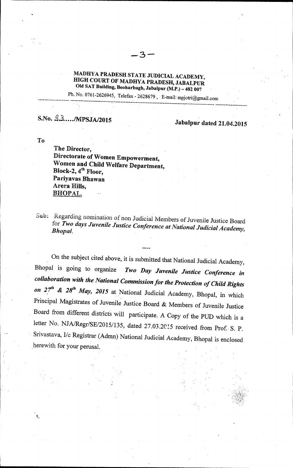### **MADHYA PRADESH STATE JUDICIAL ACADEMY, HIGH COURT OF MADHYA PRADESH, JABALPUR Old SAT Building, Beoharbagh, Jabalpur (M.P.) — 482 007**

ス

Ph. No. 0761-2626945, Telefax - 2628679, E-mail: mpjotri@gmail.com

# S.No. 4.3..../MPSJA/2015 **Jabalpur dated 21.04.2015**

**To** 

**The Director, Directorate of Women Empowerment, Women and Child Welfare Department,**  Block-2, 4<sup>th</sup> Floor, **Pariyavas Bhawan Arera Hills, BHOPAL.,** 

Sub: Regarding nomination of non Judicial Members of Juvenile Justice Board for *Two days Juvenile Justice Conference at National Judicial Academy, Bhopal.* 

•••

On the subject cited above, it is submitted that National Judicial Academy,<br>Bhopal is going to organize Two Day Juvenile Justice Conference in Bhopal is going to organize *Two Day Juvenile Justice Conference in collaboration with the National Commission for the Protection of Child Rights*  on 27<sup>th</sup> & 28<sup>th</sup> May, 2015 at National Judicial Academy, Bhopal, in which Principal Magistrates of Juvenile Justice Board & Members of Juvenile Justice Board from different districts will participate. A Copy of the PUD which is a letter No. NJA/Regr/SE/2015/135, dated 27.03.2015 received from Prof. S. P. Srivastava, I/c Registrar (Admn) National Judicial Academy, Bhopal is enclosed herewith for your perusal.